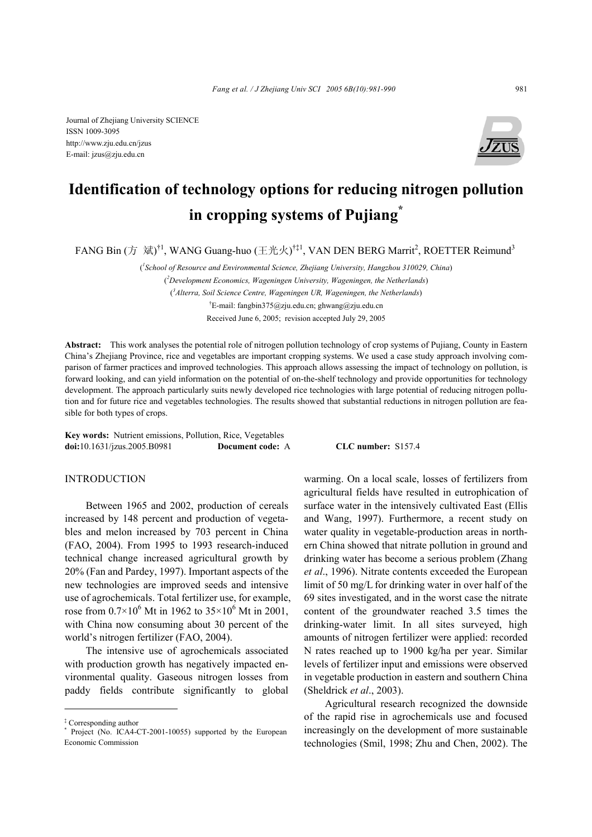Journal of Zhejiang University SCIENCE ISSN 1009-3095 http://www.zju.edu.cn/jzus E-mail: jzus@zju.edu.cn



# **Identification of technology options for reducing nitrogen pollution in cropping systems of Pujiang\***

FANG Bin (方 斌) $^{\dagger 1}$ , WANG Guang-huo (王光火) $^{\dagger\ddagger 1}$ , VAN DEN BERG Marrit $^2$ , ROETTER Reimund $^3$ 

( *1 School of Resource and Environmental Science, Zhejiang University, Hangzhou 310029, China*)

( *2 Development Economics, Wageningen University, Wageningen, the Netherlands*) ( *3 Alterra, Soil Science Centre, Wageningen UR, Wageningen, the Netherlands*) † E-mail: fangbin375@zju.edu.cn; ghwang@zju.edu.cn Received June 6, 2005; revision accepted July 29, 2005

**Abstract:** This work analyses the potential role of nitrogen pollution technology of crop systems of Pujiang, County in Eastern China's Zhejiang Province, rice and vegetables are important cropping systems. We used a case study approach involving comparison of farmer practices and improved technologies. This approach allows assessing the impact of technology on pollution, is forward looking, and can yield information on the potential of on-the-shelf technology and provide opportunities for technology development. The approach particularly suits newly developed rice technologies with large potential of reducing nitrogen pollution and for future rice and vegetables technologies. The results showed that substantial reductions in nitrogen pollution are feasible for both types of crops.

**Key words:** Nutrient emissions, Pollution, Rice, Vegetables **doi:**10.1631/jzus.2005.B0981 **Document code:** A **CLC number:** S157.4

#### INTRODUCTION

Between 1965 and 2002, production of cereals increased by 148 percent and production of vegetables and melon increased by 703 percent in China (FAO, 2004). From 1995 to 1993 research-induced technical change increased agricultural growth by 20% (Fan and Pardey, 1997). Important aspects of the new technologies are improved seeds and intensive use of agrochemicals. Total fertilizer use, for example, rose from  $0.7 \times 10^6$  Mt in 1962 to  $35 \times 10^6$  Mt in 2001, with China now consuming about 30 percent of the world's nitrogen fertilizer (FAO, 2004).

The intensive use of agrochemicals associated with production growth has negatively impacted environmental quality. Gaseous nitrogen losses from paddy fields contribute significantly to global warming. On a local scale, losses of fertilizers from agricultural fields have resulted in eutrophication of surface water in the intensively cultivated East (Ellis and Wang, 1997). Furthermore, a recent study on water quality in vegetable-production areas in northern China showed that nitrate pollution in ground and drinking water has become a serious problem (Zhang *et al*., 1996). Nitrate contents exceeded the European limit of 50 mg/L for drinking water in over half of the 69 sites investigated, and in the worst case the nitrate content of the groundwater reached 3.5 times the drinking-water limit. In all sites surveyed, high amounts of nitrogen fertilizer were applied: recorded N rates reached up to 1900 kg/ha per year. Similar levels of fertilizer input and emissions were observed in vegetable production in eastern and southern China (Sheldrick *et al*., 2003).

Agricultural research recognized the downside of the rapid rise in agrochemicals use and focused increasingly on the development of more sustainable technologies (Smil, 1998; Zhu and Chen, 2002). The

<sup>‡</sup> Corresponding author

<sup>\*</sup> Project (No. ICA4-CT-2001-10055) supported by the European Economic Commission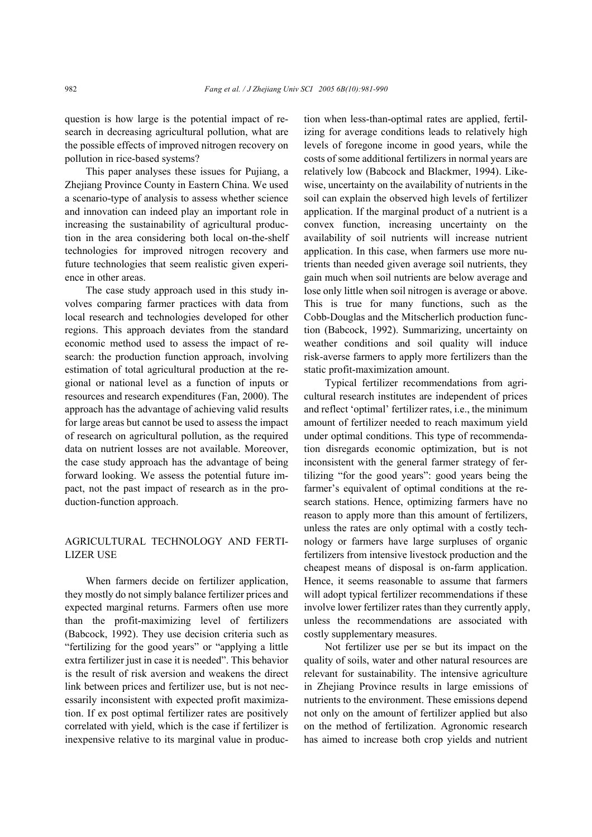question is how large is the potential impact of research in decreasing agricultural pollution, what are the possible effects of improved nitrogen recovery on pollution in rice-based systems?

This paper analyses these issues for Pujiang, a Zhejiang Province County in Eastern China. We used a scenario-type of analysis to assess whether science and innovation can indeed play an important role in increasing the sustainability of agricultural production in the area considering both local on-the-shelf technologies for improved nitrogen recovery and future technologies that seem realistic given experience in other areas.

The case study approach used in this study involves comparing farmer practices with data from local research and technologies developed for other regions. This approach deviates from the standard economic method used to assess the impact of research: the production function approach, involving estimation of total agricultural production at the regional or national level as a function of inputs or resources and research expenditures (Fan, 2000). The approach has the advantage of achieving valid results for large areas but cannot be used to assess the impact of research on agricultural pollution, as the required data on nutrient losses are not available. Moreover, the case study approach has the advantage of being forward looking. We assess the potential future impact, not the past impact of research as in the production-function approach.

# AGRICULTURAL TECHNOLOGY AND FERTI-LIZER USE

When farmers decide on fertilizer application, they mostly do not simply balance fertilizer prices and expected marginal returns. Farmers often use more than the profit-maximizing level of fertilizers (Babcock, 1992). They use decision criteria such as "fertilizing for the good years" or "applying a little extra fertilizer just in case it is needed". This behavior is the result of risk aversion and weakens the direct link between prices and fertilizer use, but is not necessarily inconsistent with expected profit maximization. If ex post optimal fertilizer rates are positively correlated with yield, which is the case if fertilizer is inexpensive relative to its marginal value in production when less-than-optimal rates are applied, fertilizing for average conditions leads to relatively high levels of foregone income in good years, while the costs of some additional fertilizers in normal years are relatively low (Babcock and Blackmer, 1994). Likewise, uncertainty on the availability of nutrients in the soil can explain the observed high levels of fertilizer application. If the marginal product of a nutrient is a convex function, increasing uncertainty on the availability of soil nutrients will increase nutrient application. In this case, when farmers use more nutrients than needed given average soil nutrients, they gain much when soil nutrients are below average and lose only little when soil nitrogen is average or above. This is true for many functions, such as the Cobb-Douglas and the Mitscherlich production function (Babcock, 1992). Summarizing, uncertainty on weather conditions and soil quality will induce risk-averse farmers to apply more fertilizers than the static profit-maximization amount.

Typical fertilizer recommendations from agricultural research institutes are independent of prices and reflect 'optimal' fertilizer rates, i.e., the minimum amount of fertilizer needed to reach maximum yield under optimal conditions. This type of recommendation disregards economic optimization, but is not inconsistent with the general farmer strategy of fertilizing "for the good years": good years being the farmer's equivalent of optimal conditions at the research stations. Hence, optimizing farmers have no reason to apply more than this amount of fertilizers, unless the rates are only optimal with a costly technology or farmers have large surpluses of organic fertilizers from intensive livestock production and the cheapest means of disposal is on-farm application. Hence, it seems reasonable to assume that farmers will adopt typical fertilizer recommendations if these involve lower fertilizer rates than they currently apply, unless the recommendations are associated with costly supplementary measures.

Not fertilizer use per se but its impact on the quality of soils, water and other natural resources are relevant for sustainability. The intensive agriculture in Zhejiang Province results in large emissions of nutrients to the environment. These emissions depend not only on the amount of fertilizer applied but also on the method of fertilization. Agronomic research has aimed to increase both crop yields and nutrient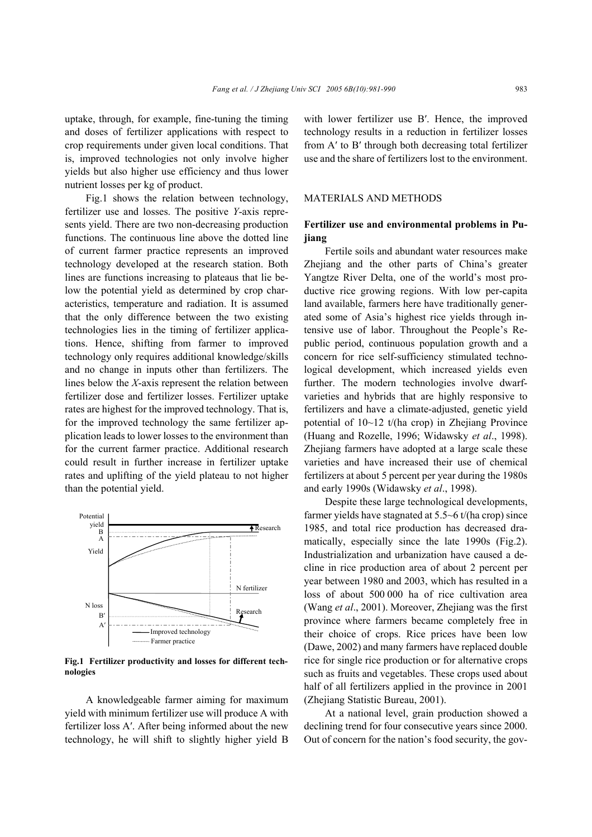uptake, through, for example, fine-tuning the timing and doses of fertilizer applications with respect to crop requirements under given local conditions. That is, improved technologies not only involve higher yields but also higher use efficiency and thus lower nutrient losses per kg of product.

Fig.1 shows the relation between technology, fertilizer use and losses. The positive *Y*-axis represents yield. There are two non-decreasing production functions. The continuous line above the dotted line of current farmer practice represents an improved technology developed at the research station. Both lines are functions increasing to plateaus that lie below the potential yield as determined by crop characteristics, temperature and radiation. It is assumed that the only difference between the two existing technologies lies in the timing of fertilizer applications. Hence, shifting from farmer to improved technology only requires additional knowledge/skills and no change in inputs other than fertilizers. The lines below the *X*-axis represent the relation between fertilizer dose and fertilizer losses. Fertilizer uptake rates are highest for the improved technology. That is, for the improved technology the same fertilizer application leads to lower losses to the environment than for the current farmer practice. Additional research could result in further increase in fertilizer uptake rates and uplifting of the yield plateau to not higher than the potential yield.



**Fig.1 Fertilizer productivity and losses for different technologies**

A knowledgeable farmer aiming for maximum yield with minimum fertilizer use will produce A with fertilizer loss A′. After being informed about the new technology, he will shift to slightly higher yield B with lower fertilizer use B′. Hence, the improved technology results in a reduction in fertilizer losses from A′ to B′ through both decreasing total fertilizer use and the share of fertilizers lost to the environment.

#### MATERIALS AND METHODS

# **Fertilizer use and environmental problems in Pujiang**

Fertile soils and abundant water resources make Zhejiang and the other parts of China's greater Yangtze River Delta, one of the world's most productive rice growing regions. With low per-capita land available, farmers here have traditionally generated some of Asia's highest rice yields through intensive use of labor. Throughout the People's Republic period, continuous population growth and a concern for rice self-sufficiency stimulated technological development, which increased yields even further. The modern technologies involve dwarfvarieties and hybrids that are highly responsive to fertilizers and have a climate-adjusted, genetic yield potential of 10~12 t/(ha crop) in Zhejiang Province (Huang and Rozelle, 1996; Widawsky *et al*., 1998). Zhejiang farmers have adopted at a large scale these varieties and have increased their use of chemical fertilizers at about 5 percent per year during the 1980s and early 1990s (Widawsky *et al*., 1998).

Despite these large technological developments, farmer yields have stagnated at 5.5~6 t/(ha crop) since 1985, and total rice production has decreased dramatically, especially since the late 1990s (Fig.2). Industrialization and urbanization have caused a decline in rice production area of about 2 percent per year between 1980 and 2003, which has resulted in a loss of about 500 000 ha of rice cultivation area (Wang *et al*., 2001). Moreover, Zhejiang was the first province where farmers became completely free in their choice of crops. Rice prices have been low (Dawe, 2002) and many farmers have replaced double rice for single rice production or for alternative crops such as fruits and vegetables. These crops used about half of all fertilizers applied in the province in 2001 (Zhejiang Statistic Bureau, 2001).

At a national level, grain production showed a declining trend for four consecutive years since 2000. Out of concern for the nation's food security, the gov-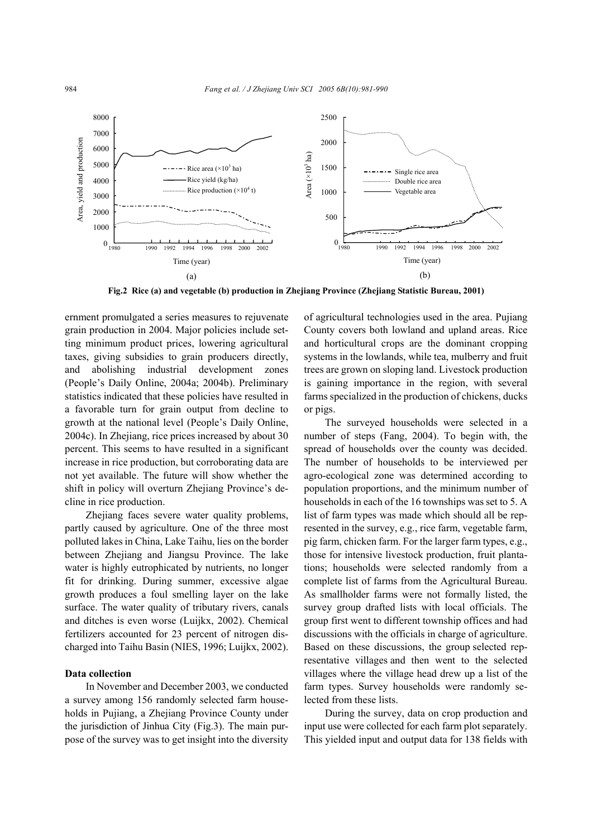

**Fig.2 Rice (a) and vegetable (b) production in Zhejiang Province (Zhejiang Statistic Bureau, 2001)** 

ernment promulgated a series measures to rejuvenate grain production in 2004. Major policies include setting minimum product prices, lowering agricultural taxes, giving subsidies to grain producers directly, and abolishing industrial development zones (People's Daily Online, 2004a; 2004b). Preliminary statistics indicated that these policies have resulted in a favorable turn for grain output from decline to growth at the national level (People's Daily Online, 2004c). In Zhejiang, rice prices increased by about 30 percent. This seems to have resulted in a significant increase in rice production, but corroborating data are not yet available. The future will show whether the shift in policy will overturn Zhejiang Province's decline in rice production.

Zhejiang faces severe water quality problems, partly caused by agriculture. One of the three most polluted lakes in China, Lake Taihu, lies on the border between Zhejiang and Jiangsu Province. The lake water is highly eutrophicated by nutrients, no longer fit for drinking. During summer, excessive algae growth produces a foul smelling layer on the lake surface. The water quality of tributary rivers, canals and ditches is even worse (Luijkx, 2002). Chemical fertilizers accounted for 23 percent of nitrogen discharged into Taihu Basin (NIES, 1996; Luijkx, 2002).

# **Data collection**

In November and December 2003, we conducted a survey among 156 randomly selected farm households in Pujiang, a Zhejiang Province County under the jurisdiction of Jinhua City (Fig.3). The main purpose of the survey was to get insight into the diversity

of agricultural technologies used in the area. Pujiang County covers both lowland and upland areas. Rice and horticultural crops are the dominant cropping systems in the lowlands, while tea, mulberry and fruit trees are grown on sloping land. Livestock production is gaining importance in the region, with several farms specialized in the production of chickens, ducks or pigs.

The surveyed households were selected in a number of steps (Fang, 2004). To begin with, the spread of households over the county was decided. The number of households to be interviewed per agro-ecological zone was determined according to population proportions, and the minimum number of households in each of the 16 townships was set to 5. A list of farm types was made which should all be represented in the survey, e.g., rice farm, vegetable farm, pig farm, chicken farm. For the larger farm types, e.g., those for intensive livestock production, fruit plantations; households were selected randomly from a complete list of farms from the Agricultural Bureau. As smallholder farms were not formally listed, the survey group drafted lists with local officials. The group first went to different township offices and had discussions with the officials in charge of agriculture. Based on these discussions, the group selected representative villages and then went to the selected villages where the village head drew up a list of the farm types. Survey households were randomly selected from these lists.

During the survey, data on crop production and input use were collected for each farm plot separately. This yielded input and output data for 138 fields with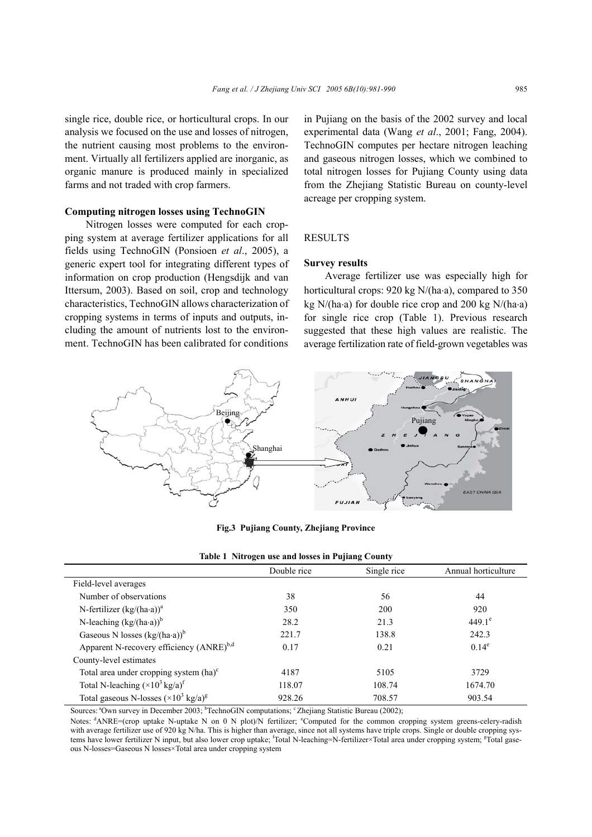single rice, double rice, or horticultural crops. In our analysis we focused on the use and losses of nitrogen, the nutrient causing most problems to the environment. Virtually all fertilizers applied are inorganic, as organic manure is produced mainly in specialized farms and not traded with crop farmers.

# **Computing nitrogen losses using TechnoGIN**

Nitrogen losses were computed for each cropping system at average fertilizer applications for all fields using TechnoGIN (Ponsioen *et al*., 2005), a generic expert tool for integrating different types of information on crop production (Hengsdijk and van Ittersum, 2003). Based on soil, crop and technology characteristics, TechnoGIN allows characterization of cropping systems in terms of inputs and outputs, including the amount of nutrients lost to the environment. TechnoGIN has been calibrated for conditions in Pujiang on the basis of the 2002 survey and local experimental data (Wang *et al*., 2001; Fang, 2004). TechnoGIN computes per hectare nitrogen leaching and gaseous nitrogen losses, which we combined to total nitrogen losses for Pujiang County using data from the Zhejiang Statistic Bureau on county-level acreage per cropping system.

### RESULTS

#### **Survey results**

Average fertilizer use was especially high for horticultural crops: 920 kg N/(ha⋅a), compared to 350 kg N/(ha⋅a) for double rice crop and 200 kg N/(ha⋅a) for single rice crop (Table 1). Previous research suggested that these high values are realistic. The average fertilization rate of field-grown vegetables was



# **Fig.3 Pujiang County, Zhejiang Province**

|                                                       | Double rice | Single rice | Annual horticulture |  |  |
|-------------------------------------------------------|-------------|-------------|---------------------|--|--|
| Field-level averages                                  |             |             |                     |  |  |
| Number of observations                                | 38          | 56          | 44                  |  |  |
| N-fertilizer $(kg/(ha \cdot a))^a$                    | 350         | <b>200</b>  | 920                 |  |  |
| N-leaching $(kg/(ha \cdot a))^b$                      | 28.2        | 21.3        | $449.1^e$           |  |  |
| Gaseous N losses $(kg/(ha \cdot a))^b$                | 221.7       | 138.8       | 242.3               |  |  |
| Apparent N-recovery efficiency (ANRE) <sup>b,d</sup>  | 0.17        | 0.21        | $0.14^e$            |  |  |
| County-level estimates                                |             |             |                     |  |  |
| Total area under cropping system $(ha)^c$             | 4187        | 5105        | 3729                |  |  |
| Total N-leaching $(\times 10^3 \text{ kg/a})^f$       | 118.07      | 108.74      | 1674.70             |  |  |
| Total gaseous N-losses $(\times 10^3 \text{ kg/a})^8$ | 928.26      | 708.57      | 903.54              |  |  |

| Table 1 Nitrogen use and losses in Pujiang County |  |  |
|---------------------------------------------------|--|--|
|                                                   |  |  |

Sources: <sup>a</sup>Own survey in December 2003; <sup>b</sup>TechnoGIN computations; ° Zhejiang Statistic Bureau (2002);

Notes: <sup>d</sup>ANRE=(crop uptake N-uptake N on 0 N plot)/N fertilizer; Computed for the common cropping system greens-celery-radish with average fertilizer use of 920 kg N/ha. This is higher than average, since not all systems have triple crops. Single or double cropping systems have lower fertilizer N input, but also lower crop uptake; <sup>f</sup>Total N-leaching=N-fertilizer×Total area under cropping system; <sup>g</sup>Total gaseous-N-losses=Gaseous N losses×Total area under cropping system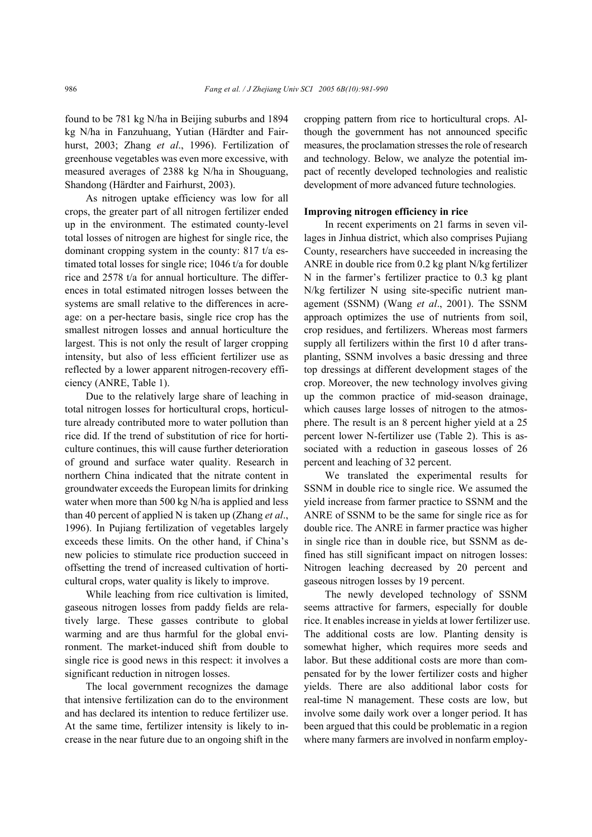found to be 781 kg N/ha in Beijing suburbs and 1894 kg N/ha in Fanzuhuang, Yutian (Härdter and Fairhurst, 2003; Zhang *et al*., 1996). Fertilization of greenhouse vegetables was even more excessive, with measured averages of 2388 kg N/ha in Shouguang, Shandong (Härdter and Fairhurst, 2003).

As nitrogen uptake efficiency was low for all crops, the greater part of all nitrogen fertilizer ended up in the environment. The estimated county-level total losses of nitrogen are highest for single rice, the dominant cropping system in the county: 817 t/a estimated total losses for single rice; 1046 t/a for double rice and 2578 t/a for annual horticulture. The differences in total estimated nitrogen losses between the systems are small relative to the differences in acreage: on a per-hectare basis, single rice crop has the smallest nitrogen losses and annual horticulture the largest. This is not only the result of larger cropping intensity, but also of less efficient fertilizer use as reflected by a lower apparent nitrogen-recovery efficiency (ANRE, Table 1).

Due to the relatively large share of leaching in total nitrogen losses for horticultural crops, horticulture already contributed more to water pollution than rice did. If the trend of substitution of rice for horticulture continues, this will cause further deterioration of ground and surface water quality. Research in northern China indicated that the nitrate content in groundwater exceeds the European limits for drinking water when more than 500 kg N/ha is applied and less than 40 percent of applied N is taken up (Zhang *et al*., 1996). In Pujiang fertilization of vegetables largely exceeds these limits. On the other hand, if China's new policies to stimulate rice production succeed in offsetting the trend of increased cultivation of horticultural crops, water quality is likely to improve.

While leaching from rice cultivation is limited, gaseous nitrogen losses from paddy fields are relatively large. These gasses contribute to global warming and are thus harmful for the global environment. The market-induced shift from double to single rice is good news in this respect: it involves a significant reduction in nitrogen losses.

The local government recognizes the damage that intensive fertilization can do to the environment and has declared its intention to reduce fertilizer use. At the same time, fertilizer intensity is likely to increase in the near future due to an ongoing shift in the cropping pattern from rice to horticultural crops. Although the government has not announced specific measures, the proclamation stresses the role of research and technology. Below, we analyze the potential impact of recently developed technologies and realistic development of more advanced future technologies.

#### **Improving nitrogen efficiency in rice**

In recent experiments on 21 farms in seven villages in Jinhua district, which also comprises Pujiang County, researchers have succeeded in increasing the ANRE in double rice from 0.2 kg plant N/kg fertilizer N in the farmer's fertilizer practice to 0.3 kg plant N/kg fertilizer N using site-specific nutrient management (SSNM) (Wang *et al*., 2001). The SSNM approach optimizes the use of nutrients from soil, crop residues, and fertilizers. Whereas most farmers supply all fertilizers within the first 10 d after transplanting, SSNM involves a basic dressing and three top dressings at different development stages of the crop. Moreover, the new technology involves giving up the common practice of mid-season drainage, which causes large losses of nitrogen to the atmosphere. The result is an 8 percent higher yield at a 25 percent lower N-fertilizer use (Table 2). This is associated with a reduction in gaseous losses of 26 percent and leaching of 32 percent.

We translated the experimental results for SSNM in double rice to single rice. We assumed the yield increase from farmer practice to SSNM and the ANRE of SSNM to be the same for single rice as for double rice. The ANRE in farmer practice was higher in single rice than in double rice, but SSNM as defined has still significant impact on nitrogen losses: Nitrogen leaching decreased by 20 percent and gaseous nitrogen losses by 19 percent.

The newly developed technology of SSNM seems attractive for farmers, especially for double rice. It enables increase in yields at lower fertilizer use. The additional costs are low. Planting density is somewhat higher, which requires more seeds and labor. But these additional costs are more than compensated for by the lower fertilizer costs and higher yields. There are also additional labor costs for real-time N management. These costs are low, but involve some daily work over a longer period. It has been argued that this could be problematic in a region where many farmers are involved in nonfarm employ-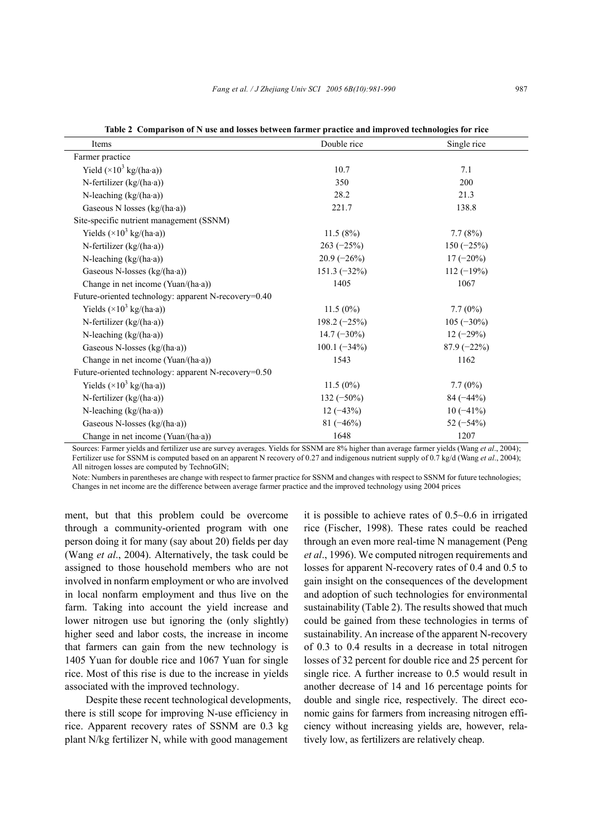| Items                                                | Double rice    | Single rice   |
|------------------------------------------------------|----------------|---------------|
| Farmer practice                                      |                |               |
| Yield $(\times 10^3 \text{ kg/(ha-a)})$              | 10.7           | 7.1           |
| N-fertilizer $(kg/(ha \cdot a))$                     | 350            | 200           |
| N-leaching $(kg/(ha \cdot a))$                       | 28.2           | 21.3          |
| Gaseous N losses (kg/(ha·a))                         | 221.7          | 138.8         |
| Site-specific nutrient management (SSNM)             |                |               |
| Yields $(\times 10^3 \text{ kg/(ha-a)})$             | 11.5(8%)       | 7.7(8%)       |
| N-fertilizer $(kg/(ha \cdot a))$                     | $263 (-25%)$   | $150(-25%)$   |
| N-leaching $(kg/(ha \cdot a))$                       | $20.9(-26%)$   | $17(-20\%)$   |
| Gaseous N-losses $(kg/(ha \cdot a))$                 | $151.3(-32%)$  | $112(-19%)$   |
| Change in net income (Yuan/(ha·a))                   | 1405           | 1067          |
| Future-oriented technology: apparent N-recovery=0.40 |                |               |
| Yields $(\times 10^3 \text{ kg/(ha-a)})$             | $11.5(0\%)$    | $7.7(0\%)$    |
| N-fertilizer $(kg/(ha \cdot a))$                     | $198.2 (-25%)$ | $105 (-30\%)$ |
| N-leaching $(kg/(ha \cdot a))$                       | $14.7(-30\%)$  | $12(-29%)$    |
| Gaseous N-losses (kg/(ha·a))                         | $100.1 (-34%)$ | $87.9(-22%)$  |
| Change in net income $(Yuan/ha \cdot a)$             | 1543           | 1162          |
| Future-oriented technology: apparent N-recovery=0.50 |                |               |
| Yields $(\times 10^3 \text{ kg/(ha-a)})$             | $11.5(0\%)$    | $7.7(0\%)$    |
| N-fertilizer $(kg/(ha \cdot a))$                     | $132 (-50\%)$  | $84 (-44%)$   |
| N-leaching $(kg/(ha \cdot a))$                       | $12(-43%)$     | $10(-41\%)$   |
| Gaseous N-losses (kg/(ha·a))                         | $81 (-46%)$    | 52 $(-54%)$   |
| Change in net income (Yuan/(ha·a))                   | 1648           | 1207          |

**Table 2 Comparison of N use and losses between farmer practice and improved technologies for rice** 

Sources: Farmer yields and fertilizer use are survey averages. Yields for SSNM are 8% higher than average farmer yields (Wang *et al*., 2004); Fertilizer use for SSNM is computed based on an apparent N recovery of 0.27 and indigenous nutrient supply of 0.7 kg/d (Wang *et al*., 2004); All-nitrogen losses are computed by TechnoGIN:

Note: Numbers in parentheses are change with respect to farmer practice for SSNM and changes with respect to SSNM for future technologies; Changes in net income are the difference between average farmer practice and the improved technology using 2004 prices

ment, but that this problem could be overcome through a community-oriented program with one person doing it for many (say about 20) fields per day (Wang *et al*., 2004). Alternatively, the task could be assigned to those household members who are not involved in nonfarm employment or who are involved in local nonfarm employment and thus live on the farm. Taking into account the yield increase and lower nitrogen use but ignoring the (only slightly) higher seed and labor costs, the increase in income that farmers can gain from the new technology is 1405 Yuan for double rice and 1067 Yuan for single rice. Most of this rise is due to the increase in yields associated with the improved technology.

Despite these recent technological developments, there is still scope for improving N-use efficiency in rice. Apparent recovery rates of SSNM are 0.3 kg plant N/kg fertilizer N, while with good management

it is possible to achieve rates of 0.5~0.6 in irrigated rice (Fischer, 1998). These rates could be reached through an even more real-time N management (Peng *et al*., 1996). We computed nitrogen requirements and losses for apparent N-recovery rates of 0.4 and 0.5 to gain insight on the consequences of the development and adoption of such technologies for environmental sustainability (Table 2). The results showed that much could be gained from these technologies in terms of sustainability. An increase of the apparent N-recovery of 0.3 to 0.4 results in a decrease in total nitrogen losses of 32 percent for double rice and 25 percent for single rice. A further increase to 0.5 would result in another decrease of 14 and 16 percentage points for double and single rice, respectively. The direct economic gains for farmers from increasing nitrogen efficiency without increasing yields are, however, relatively low, as fertilizers are relatively cheap.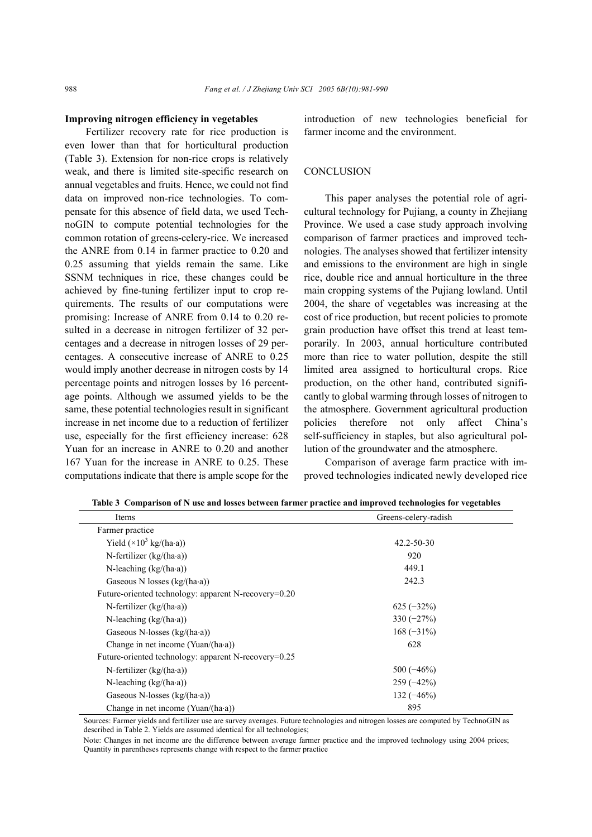#### **Improving nitrogen efficiency in vegetables**

Fertilizer recovery rate for rice production is even lower than that for horticultural production (Table 3). Extension for non-rice crops is relatively weak, and there is limited site-specific research on annual vegetables and fruits. Hence, we could not find data on improved non-rice technologies. To compensate for this absence of field data, we used TechnoGIN to compute potential technologies for the common rotation of greens-celery-rice. We increased the ANRE from 0.14 in farmer practice to 0.20 and 0.25 assuming that yields remain the same. Like SSNM techniques in rice, these changes could be achieved by fine-tuning fertilizer input to crop requirements. The results of our computations were promising: Increase of ANRE from 0.14 to 0.20 resulted in a decrease in nitrogen fertilizer of 32 percentages and a decrease in nitrogen losses of 29 percentages. A consecutive increase of ANRE to 0.25 would imply another decrease in nitrogen costs by 14 percentage points and nitrogen losses by 16 percentage points. Although we assumed yields to be the same, these potential technologies result in significant increase in net income due to a reduction of fertilizer use, especially for the first efficiency increase: 628 Yuan for an increase in ANRE to 0.20 and another 167 Yuan for the increase in ANRE to 0.25. These computations indicate that there is ample scope for the introduction of new technologies beneficial for farmer income and the environment.

### **CONCLUSION**

This paper analyses the potential role of agricultural technology for Pujiang, a county in Zhejiang Province. We used a case study approach involving comparison of farmer practices and improved technologies. The analyses showed that fertilizer intensity and emissions to the environment are high in single rice, double rice and annual horticulture in the three main cropping systems of the Pujiang lowland. Until 2004, the share of vegetables was increasing at the cost of rice production, but recent policies to promote grain production have offset this trend at least temporarily. In 2003, annual horticulture contributed more than rice to water pollution, despite the still limited area assigned to horticultural crops. Rice production, on the other hand, contributed significantly to global warming through losses of nitrogen to the atmosphere. Government agricultural production policies therefore not only affect China's self-sufficiency in staples, but also agricultural pollution of the groundwater and the atmosphere.

Comparison of average farm practice with improved technologies indicated newly developed rice

| Items                                                | Greens-celery-radish |
|------------------------------------------------------|----------------------|
| Farmer practice                                      |                      |
| Yield $(\times 10^3 \text{ kg/(ha-a)})$              | $42.2 - 50 - 30$     |
| N-fertilizer $(kg/(ha \cdot a))$                     | 920                  |
| N-leaching $(kg/(ha \cdot a))$                       | 449.1                |
| Gaseous N losses $(kg/(\text{ha-a}))$                | 242.3                |
| Future-oriented technology: apparent N-recovery=0.20 |                      |
| N-fertilizer $(kg/(\text{ha-a}))$                    | $625 (-32\%)$        |
| N-leaching $(kg/(ha \cdot a))$                       | $330(-27%)$          |
| Gaseous N-losses $(kg/(ha \cdot a))$                 | $168(-31\%)$         |
| Change in net income $(Yuan/(ha \cdot a))$           | 628                  |
| Future-oriented technology: apparent N-recovery=0.25 |                      |
| N-fertilizer $(kg/(ha \cdot a))$                     | $500(-46%)$          |
| N-leaching $(kg/(ha \cdot a))$                       | $259(-42%)$          |
| Gaseous N-losses (kg/(ha·a))                         | $132 (-46%)$         |
| Change in net income $(Yuan/(ha \cdot a))$           | 895                  |

**Table 3 Comparison of N use and losses between farmer practice and improved technologies for vegetables** 

Sources: Farmer yields and fertilizer use are survey averages. Future technologies and nitrogen losses are computed by TechnoGIN as described in Table 2. Yields are assumed identical for all technologies;

Note: Changes in net income are the difference between average farmer practice and the improved technology using 2004 prices; Quantity in parentheses represents change with respect to the farmer practice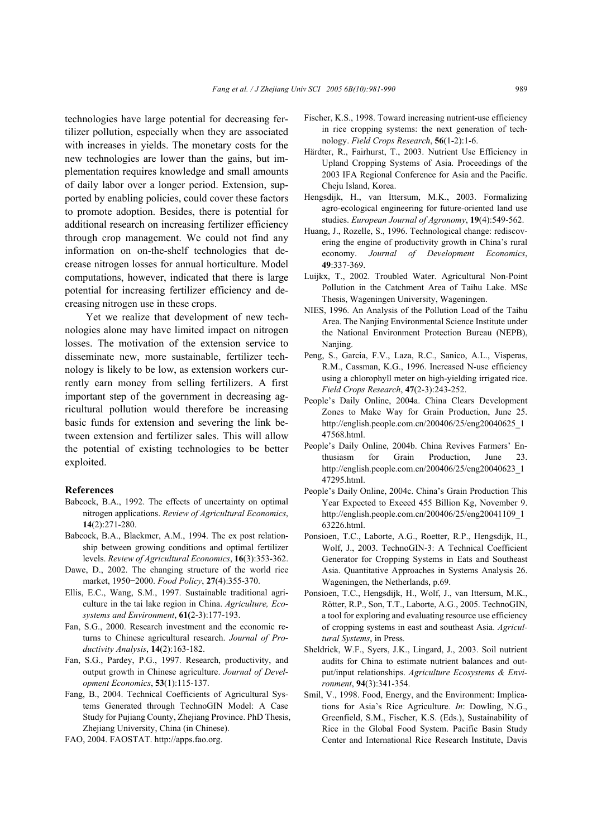technologies have large potential for decreasing fertilizer pollution, especially when they are associated with increases in yields. The monetary costs for the new technologies are lower than the gains, but implementation requires knowledge and small amounts of daily labor over a longer period. Extension, supported by enabling policies, could cover these factors to promote adoption. Besides, there is potential for additional research on increasing fertilizer efficiency through crop management. We could not find any information on on-the-shelf technologies that decrease nitrogen losses for annual horticulture. Model computations, however, indicated that there is large potential for increasing fertilizer efficiency and decreasing nitrogen use in these crops.

Yet we realize that development of new technologies alone may have limited impact on nitrogen losses. The motivation of the extension service to disseminate new, more sustainable, fertilizer technology is likely to be low, as extension workers currently earn money from selling fertilizers. A first important step of the government in decreasing agricultural pollution would therefore be increasing basic funds for extension and severing the link between extension and fertilizer sales. This will allow the potential of existing technologies to be better exploited.

#### **References**

- Babcock, B.A., 1992. The effects of uncertainty on optimal nitrogen applications. *Review of Agricultural Economics*, **14**(2):271-280.
- Babcock, B.A., Blackmer, A.M., 1994. The ex post relationship between growing conditions and optimal fertilizer levels. *Review of Agricultural Economics*, **16**(3):353-362.
- Dawe, D., 2002. The changing structure of the world rice market, 1950−2000. *Food Policy*, **27**(4):355-370.
- Ellis, E.C., Wang, S.M., 1997. Sustainable traditional agriculture in the tai lake region in China. *Agriculture, Ecosystems and Environment*, **61(**2-3):177-193.
- Fan, S.G., 2000. Research investment and the economic returns to Chinese agricultural research. *Journal of Productivity Analysis*, **14**(2):163-182.
- Fan, S.G., Pardey, P.G., 1997. Research, productivity, and output growth in Chinese agriculture. *Journal of Development Economics*, **53**(1):115-137.
- Fang, B., 2004. Technical Coefficients of Agricultural Systems Generated through TechnoGIN Model: A Case Study for Pujiang County, Zhejiang Province. PhD Thesis, Zhejiang University, China (in Chinese).
- FAO, 2004. FAOSTAT. http://apps.fao.org.
- Fischer, K.S., 1998. Toward increasing nutrient-use efficiency in rice cropping systems: the next generation of technology. *Field Crops Research*, **56**(1-2):1-6.
- Härdter, R., Fairhurst, T., 2003. Nutrient Use Efficiency in Upland Cropping Systems of Asia. Proceedings of the 2003 IFA Regional Conference for Asia and the Pacific. Cheju Island, Korea.
- Hengsdijk, H., van Ittersum, M.K., 2003. Formalizing agro-ecological engineering for future-oriented land use studies. *European Journal of Agronomy*, **19**(4):549-562.
- Huang, J., Rozelle, S., 1996. Technological change: rediscovering the engine of productivity growth in China's rural economy. *Journal of Development Economics*, **49**:337-369.
- Luijkx, T., 2002. Troubled Water. Agricultural Non-Point Pollution in the Catchment Area of Taihu Lake. MSc Thesis, Wageningen University, Wageningen.
- NIES, 1996. An Analysis of the Pollution Load of the Taihu Area. The Nanjing Environmental Science Institute under the National Environment Protection Bureau (NEPB), Nanjing.
- Peng, S., Garcia, F.V., Laza, R.C., Sanico, A.L., Visperas, R.M., Cassman, K.G., 1996. Increased N-use efficiency using a chlorophyll meter on high-yielding irrigated rice. *Field Crops Research*, **47**(2-3):243-252.
- People's Daily Online, 2004a. China Clears Development Zones to Make Way for Grain Production, June 25. http://english.people.com.cn/200406/25/eng20040625\_1 47568.html.
- People's Daily Online, 2004b. China Revives Farmers' Enthusiasm for Grain Production, June 23. http://english.people.com.cn/200406/25/eng20040623\_1 47295.html.
- People's Daily Online, 2004c. China's Grain Production This Year Expected to Exceed 455 Billion Kg, November 9. http://english.people.com.cn/200406/25/eng20041109\_1 63226.html.
- Ponsioen, T.C., Laborte, A.G., Roetter, R.P., Hengsdijk, H., Wolf, J., 2003. TechnoGIN-3: A Technical Coefficient Generator for Cropping Systems in Eats and Southeast Asia. Quantitative Approaches in Systems Analysis 26. Wageningen, the Netherlands, p.69.
- Ponsioen, T.C., Hengsdijk, H., Wolf, J., van Ittersum, M.K., Rötter, R.P., Son, T.T., Laborte, A.G., 2005. TechnoGIN, a tool for exploring and evaluating resource use efficiency of cropping systems in east and southeast Asia. *Agricultural Systems*, in Press.
- Sheldrick, W.F., Syers, J.K., Lingard, J., 2003. Soil nutrient audits for China to estimate nutrient balances and output/input relationships. *Agriculture Ecosystems & Environment*, **94**(3):341-354.
- Smil, V., 1998. Food, Energy, and the Environment: Implications for Asia's Rice Agriculture. *In*: Dowling, N.G., Greenfield, S.M., Fischer, K.S. (Eds.), Sustainability of Rice in the Global Food System. Pacific Basin Study Center and International Rice Research Institute, Davis